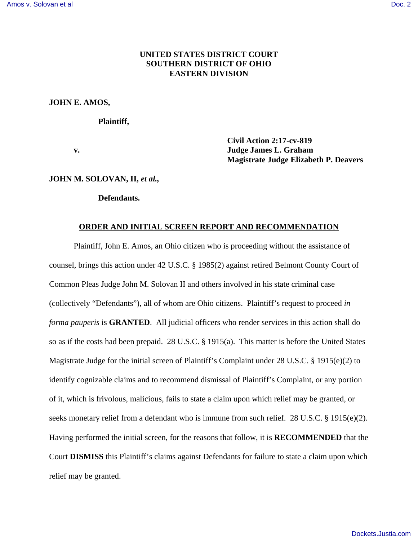## **UNITED STATES DISTRICT COURT SOUTHERN DISTRICT OF OHIO EASTERN DIVISION**

#### **JOHN E. AMOS,**

**Plaintiff,**

 **Civil Action 2:17-cv-819 v. Judge James L. Graham Magistrate Judge Elizabeth P. Deavers**

#### **JOHN M. SOLOVAN, II,** *et al.,*

**Defendants.**

#### **ORDER AND INITIAL SCREEN REPORT AND RECOMMENDATION**

Plaintiff, John E. Amos, an Ohio citizen who is proceeding without the assistance of counsel, brings this action under 42 U.S.C. § 1985(2) against retired Belmont County Court of Common Pleas Judge John M. Solovan II and others involved in his state criminal case (collectively "Defendants"), all of whom are Ohio citizens. Plaintiff's request to proceed *in forma pauperis* is **GRANTED**. All judicial officers who render services in this action shall do so as if the costs had been prepaid. 28 U.S.C. § 1915(a). This matter is before the United States Magistrate Judge for the initial screen of Plaintiff's Complaint under 28 U.S.C. § 1915(e)(2) to identify cognizable claims and to recommend dismissal of Plaintiff's Complaint, or any portion of it, which is frivolous, malicious, fails to state a claim upon which relief may be granted, or seeks monetary relief from a defendant who is immune from such relief. 28 U.S.C. § 1915(e)(2). Having performed the initial screen, for the reasons that follow, it is **RECOMMENDED** that the Court **DISMISS** this Plaintiff's claims against Defendants for failure to state a claim upon which relief may be granted.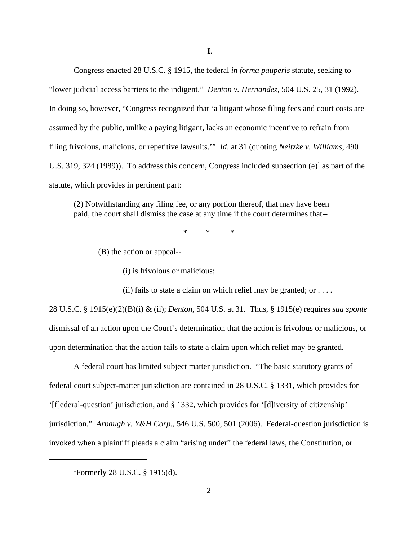Congress enacted 28 U.S.C. § 1915, the federal *in forma pauperis* statute, seeking to "lower judicial access barriers to the indigent." *Denton v. Hernandez*, 504 U.S. 25, 31 (1992). In doing so, however, "Congress recognized that 'a litigant whose filing fees and court costs are assumed by the public, unlike a paying litigant, lacks an economic incentive to refrain from filing frivolous, malicious, or repetitive lawsuits.'" *Id*. at 31 (quoting *Neitzke v. Williams*, 490 U.S. 319, 324 (1989)). To address this concern, Congress included subsection  $(e)^1$  as part of the statute, which provides in pertinent part:

(2) Notwithstanding any filing fee, or any portion thereof, that may have been paid, the court shall dismiss the case at any time if the court determines that--

\* \* \*

(B) the action or appeal--

(i) is frivolous or malicious;

(ii) fails to state a claim on which relief may be granted; or  $\dots$ .

28 U.S.C. § 1915(e)(2)(B)(i) & (ii); *Denton*, 504 U.S. at 31. Thus, § 1915(e) requires *sua sponte* dismissal of an action upon the Court's determination that the action is frivolous or malicious, or upon determination that the action fails to state a claim upon which relief may be granted.

 A federal court has limited subject matter jurisdiction. "The basic statutory grants of federal court subject-matter jurisdiction are contained in 28 U.S.C. § 1331, which provides for '[f]ederal-question' jurisdiction, and § 1332, which provides for '[d]iversity of citizenship' jurisdiction." *Arbaugh v. Y&H Corp*., 546 U.S. 500, 501 (2006). Federal-question jurisdiction is invoked when a plaintiff pleads a claim "arising under" the federal laws, the Constitution, or

<sup>&</sup>lt;sup>1</sup>Formerly 28 U.S.C. § 1915(d).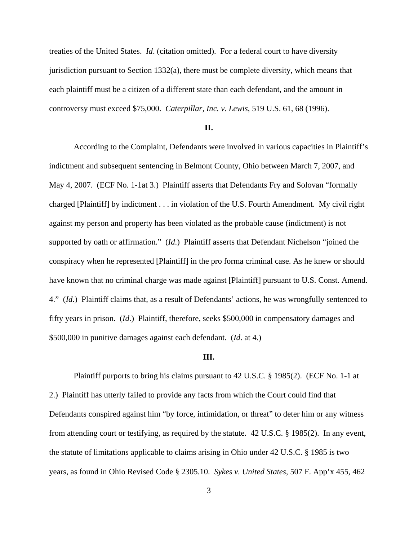treaties of the United States. *Id*. (citation omitted). For a federal court to have diversity jurisdiction pursuant to Section  $1332(a)$ , there must be complete diversity, which means that each plaintiff must be a citizen of a different state than each defendant, and the amount in controversy must exceed \$75,000. *Caterpillar, Inc. v. Lewis*, 519 U.S. 61, 68 (1996).

#### **II.**

According to the Complaint, Defendants were involved in various capacities in Plaintiff's indictment and subsequent sentencing in Belmont County, Ohio between March 7, 2007, and May 4, 2007. (ECF No. 1-1at 3.) Plaintiff asserts that Defendants Fry and Solovan "formally charged [Plaintiff] by indictment . . . in violation of the U.S. Fourth Amendment. My civil right against my person and property has been violated as the probable cause (indictment) is not supported by oath or affirmation." (*Id*.) Plaintiff asserts that Defendant Nichelson "joined the conspiracy when he represented [Plaintiff] in the pro forma criminal case. As he knew or should have known that no criminal charge was made against [Plaintiff] pursuant to U.S. Const. Amend. 4." (*Id*.) Plaintiff claims that, as a result of Defendants' actions, he was wrongfully sentenced to fifty years in prison. (*Id*.) Plaintiff, therefore, seeks \$500,000 in compensatory damages and \$500,000 in punitive damages against each defendant. (*Id*. at 4.)

#### **III.**

Plaintiff purports to bring his claims pursuant to 42 U.S.C. § 1985(2). (ECF No. 1-1 at 2.) Plaintiff has utterly failed to provide any facts from which the Court could find that Defendants conspired against him "by force, intimidation, or threat" to deter him or any witness from attending court or testifying, as required by the statute. 42 U.S.C. § 1985(2). In any event, the statute of limitations applicable to claims arising in Ohio under 42 U.S.C. § 1985 is two years, as found in Ohio Revised Code § 2305.10. *Sykes v. United States*, 507 F. App'x 455, 462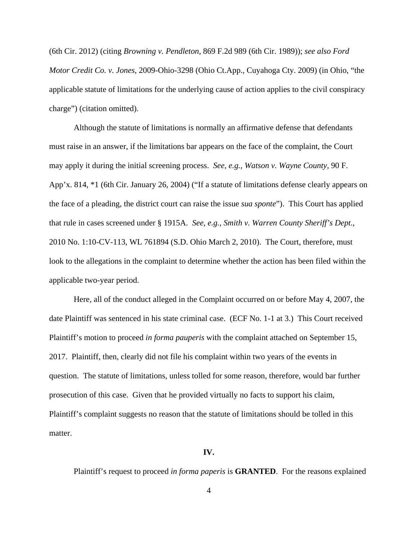(6th Cir. 2012) (citing *Browning v. Pendleton*, 869 F.2d 989 (6th Cir. 1989)); *see also Ford Motor Credit Co. v. Jones*, 2009-Ohio-3298 (Ohio Ct.App., Cuyahoga Cty. 2009) (in Ohio, "the applicable statute of limitations for the underlying cause of action applies to the civil conspiracy charge") (citation omitted).

Although the statute of limitations is normally an affirmative defense that defendants must raise in an answer, if the limitations bar appears on the face of the complaint, the Court may apply it during the initial screening process. *See, e.g., Watson v. Wayne County*, 90 F. App'x. 814, \*1 (6th Cir. January 26, 2004) ("If a statute of limitations defense clearly appears on the face of a pleading, the district court can raise the issue *sua sponte*"). This Court has applied that rule in cases screened under § 1915A. *See, e.g., Smith v. Warren County Sheriff's Dept.*, 2010 No. 1:10-CV-113, WL 761894 (S.D. Ohio March 2, 2010). The Court, therefore, must look to the allegations in the complaint to determine whether the action has been filed within the applicable two-year period.

Here, all of the conduct alleged in the Complaint occurred on or before May 4, 2007, the date Plaintiff was sentenced in his state criminal case. (ECF No. 1-1 at 3.) This Court received Plaintiff's motion to proceed *in forma pauperis* with the complaint attached on September 15, 2017. Plaintiff, then, clearly did not file his complaint within two years of the events in question. The statute of limitations, unless tolled for some reason, therefore, would bar further prosecution of this case. Given that he provided virtually no facts to support his claim, Plaintiff's complaint suggests no reason that the statute of limitations should be tolled in this matter.

### **IV.**

Plaintiff's request to proceed *in forma paperis* is **GRANTED**. For the reasons explained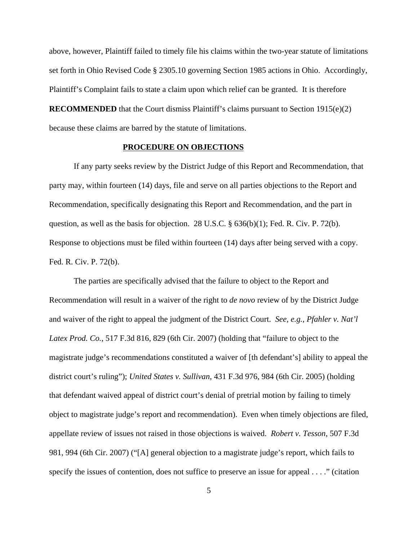above, however, Plaintiff failed to timely file his claims within the two-year statute of limitations set forth in Ohio Revised Code § 2305.10 governing Section 1985 actions in Ohio. Accordingly, Plaintiff's Complaint fails to state a claim upon which relief can be granted. It is therefore **RECOMMENDED** that the Court dismiss Plaintiff's claims pursuant to Section 1915(e)(2) because these claims are barred by the statute of limitations.

## **PROCEDURE ON OBJECTIONS**

 If any party seeks review by the District Judge of this Report and Recommendation, that party may, within fourteen (14) days, file and serve on all parties objections to the Report and Recommendation, specifically designating this Report and Recommendation, and the part in question, as well as the basis for objection. 28 U.S.C. § 636(b)(1); Fed. R. Civ. P. 72(b). Response to objections must be filed within fourteen (14) days after being served with a copy. Fed. R. Civ. P. 72(b).

The parties are specifically advised that the failure to object to the Report and Recommendation will result in a waiver of the right to *de novo* review of by the District Judge and waiver of the right to appeal the judgment of the District Court. *See, e.g.*, *Pfahler v. Nat'l Latex Prod. Co.*, 517 F.3d 816*,* 829 (6th Cir. 2007) (holding that "failure to object to the magistrate judge's recommendations constituted a waiver of [th defendant's] ability to appeal the district court's ruling"); *United States v. Sullivan*, 431 F.3d 976, 984 (6th Cir. 2005) (holding that defendant waived appeal of district court's denial of pretrial motion by failing to timely object to magistrate judge's report and recommendation). Even when timely objections are filed, appellate review of issues not raised in those objections is waived. *Robert v. Tesson*, 507 F.3d 981, 994 (6th Cir. 2007) ("[A] general objection to a magistrate judge's report, which fails to specify the issues of contention, does not suffice to preserve an issue for appeal . . . ." (citation